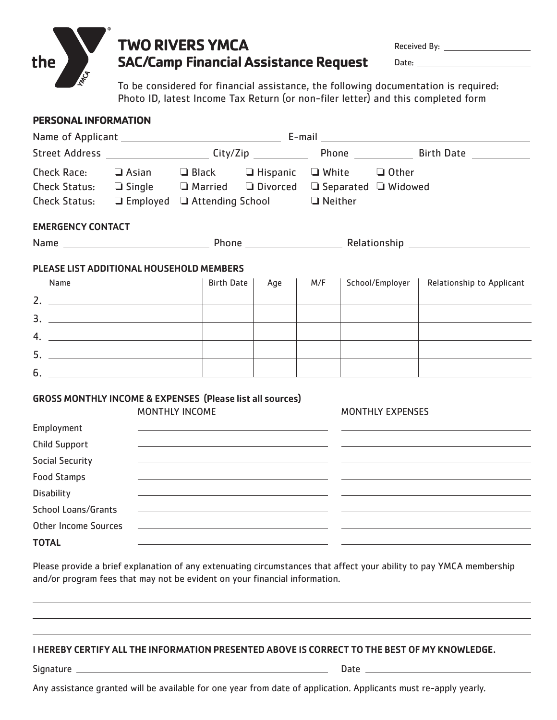

## **TWO RIVERS YMCA SAC/Camp Financial Assistance Request**

Received By:

Date: the contract of the contract of the contract of the contract of the contract of the contract of the contract of the contract of the contract of the contract of the contract of the contract of the contract of the cont

To be considered for financial assistance, the following documentation is required: Photo ID, latest Income Tax Return (or non-filer letter) and this completed form

### **PERSONAL INFORMATION**

| Check Race:<br>Check Status: $\Box$ Employed $\Box$ Attending School $\Box$ Neither | $\Box$ Asian |                       |                                                                                                                        | $\Box$ Black $\Box$ Hispanic $\Box$ White $\Box$ Other<br>Check Status: $\square$ Single $\square$ Married $\square$ Divorced $\square$ Separated $\square$ Widowed |  |                         |                           |
|-------------------------------------------------------------------------------------|--------------|-----------------------|------------------------------------------------------------------------------------------------------------------------|---------------------------------------------------------------------------------------------------------------------------------------------------------------------|--|-------------------------|---------------------------|
| <b>EMERGENCY CONTACT</b>                                                            |              |                       |                                                                                                                        |                                                                                                                                                                     |  |                         |                           |
|                                                                                     |              |                       |                                                                                                                        |                                                                                                                                                                     |  |                         |                           |
| PLEASE LIST ADDITIONAL HOUSEHOLD MEMBERS                                            |              |                       |                                                                                                                        |                                                                                                                                                                     |  |                         |                           |
| Name                                                                                |              | <b>Birth Date</b>     | Age                                                                                                                    | M/F                                                                                                                                                                 |  | School/Employer         | Relationship to Applicant |
| 2. $\overline{\phantom{a}}$                                                         |              |                       |                                                                                                                        |                                                                                                                                                                     |  |                         |                           |
|                                                                                     |              |                       |                                                                                                                        |                                                                                                                                                                     |  |                         |                           |
|                                                                                     |              |                       |                                                                                                                        |                                                                                                                                                                     |  |                         |                           |
|                                                                                     |              |                       |                                                                                                                        |                                                                                                                                                                     |  |                         |                           |
| $6.$ $\overline{\phantom{a}}$                                                       |              |                       |                                                                                                                        |                                                                                                                                                                     |  |                         |                           |
| <b>GROSS MONTHLY INCOME &amp; EXPENSES (Please list all sources)</b>                |              | <b>MONTHLY INCOME</b> |                                                                                                                        |                                                                                                                                                                     |  | <b>MONTHLY EXPENSES</b> |                           |
| Employment                                                                          |              |                       | <u> 1989 - Johann John Stein, markin film yn y brening yn y brening yn y brening y brening yn y brening yn y breni</u> |                                                                                                                                                                     |  |                         |                           |
| <b>Child Support</b><br><b>Social Security</b>                                      |              |                       | <u> 1999 - Johann Stein, marwolaethau a bhann an t-Amhain ann an t-Amhain an t-Amhain an t-Amhain an t-Amhain an </u>  |                                                                                                                                                                     |  |                         |                           |
| <b>Food Stamps</b>                                                                  |              |                       |                                                                                                                        |                                                                                                                                                                     |  |                         |                           |
| <b>Disability</b>                                                                   |              |                       |                                                                                                                        |                                                                                                                                                                     |  |                         |                           |
| <b>School Loans/Grants</b>                                                          |              |                       | <u> 1989 - Johann Stein, mars an deutscher Stein und der Stein und der Stein und der Stein und der Stein und der</u>   |                                                                                                                                                                     |  |                         |                           |
| <b>Other Income Sources</b>                                                         |              |                       |                                                                                                                        |                                                                                                                                                                     |  |                         |                           |
| <b>TOTAL</b>                                                                        |              |                       |                                                                                                                        |                                                                                                                                                                     |  |                         |                           |

Please provide a brief explanation of any extenuating circumstances that affect your ability to pay YMCA membership and/or program fees that may not be evident on your financial information.

#### I HEREBY CERTIFY ALL THE INFORMATION PRESENTED ABOVE IS CORRECT TO THE BEST OF MY KNOWLEDGE.

- Signature Date
	-

Any assistance granted will be available for one year from date of application. Applicants must re-apply yearly.